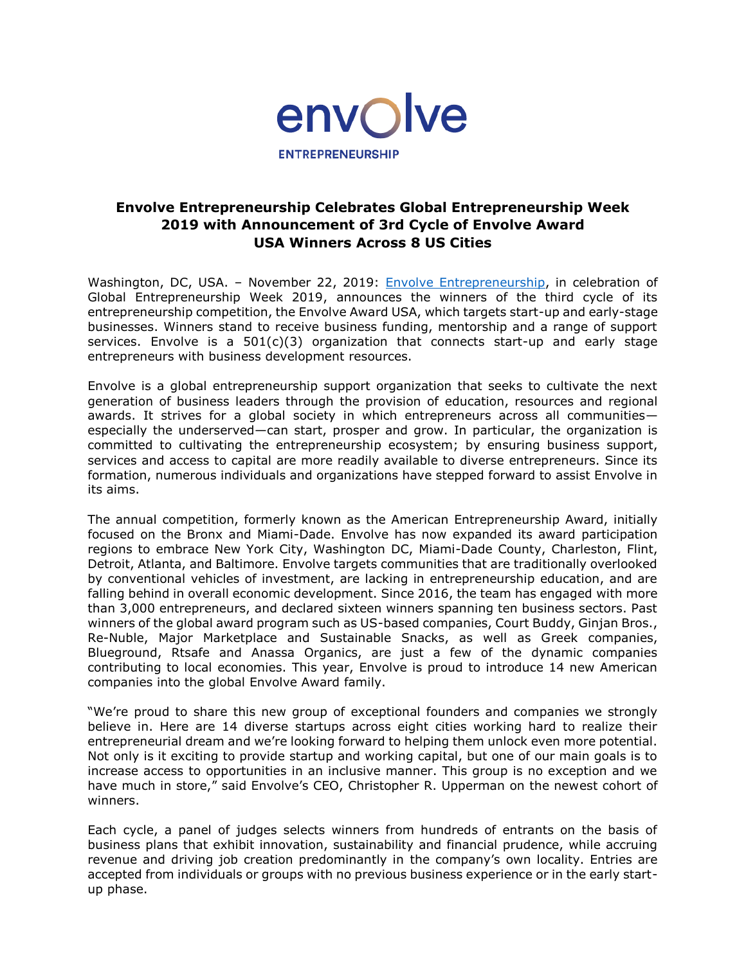

# **Envolve Entrepreneurship Celebrates Global Entrepreneurship Week 2019 with Announcement of 3rd Cycle of Envolve Award USA Winners Across 8 US Cities**

Washington, DC, USA. – November 22, 2019: [Envolve Entrepreneurship,](http://www.envolveglobal.org/) in celebration of Global Entrepreneurship Week 2019, announces the winners of the third cycle of its entrepreneurship competition, the Envolve Award USA, which targets start-up and early-stage businesses. Winners stand to receive business funding, mentorship and a range of support services. Envolve is a 501(c)(3) organization that connects start-up and early stage entrepreneurs with business development resources.

Envolve is a global entrepreneurship support organization that seeks to cultivate the next generation of business leaders through the provision of education, resources and regional awards. It strives for a global society in which entrepreneurs across all communities especially the underserved—can start, prosper and grow. In particular, the organization is committed to cultivating the entrepreneurship ecosystem; by ensuring business support, services and access to capital are more readily available to diverse entrepreneurs. Since its formation, numerous individuals and organizations have stepped forward to assist Envolve in its aims.

The annual competition, formerly known as the American Entrepreneurship Award, initially focused on the Bronx and Miami-Dade. Envolve has now expanded its award participation regions to embrace New York City, Washington DC, Miami-Dade County, Charleston, Flint, Detroit, Atlanta, and Baltimore. Envolve targets communities that are traditionally overlooked by conventional vehicles of investment, are lacking in entrepreneurship education, and are falling behind in overall economic development. Since 2016, the team has engaged with more than 3,000 entrepreneurs, and declared sixteen winners spanning ten business sectors. Past winners of the global award program such as US-based companies, Court Buddy, Ginjan Bros., Re-Nuble, Major Marketplace and Sustainable Snacks, as well as Greek companies, Blueground, Rtsafe and Anassa Organics, are just a few of the dynamic companies contributing to local economies. This year, Envolve is proud to introduce 14 new American companies into the global Envolve Award family.

"We're proud to share this new group of exceptional founders and companies we strongly believe in. Here are 14 diverse startups across eight cities working hard to realize their entrepreneurial dream and we're looking forward to helping them unlock even more potential. Not only is it exciting to provide startup and working capital, but one of our main goals is to increase access to opportunities in an inclusive manner. This group is no exception and we have much in store," said Envolve's CEO, Christopher R. Upperman on the newest cohort of winners.

Each cycle, a panel of judges selects winners from hundreds of entrants on the basis of business plans that exhibit innovation, sustainability and financial prudence, while accruing revenue and driving job creation predominantly in the company's own locality. Entries are accepted from individuals or groups with no previous business experience or in the early startup phase.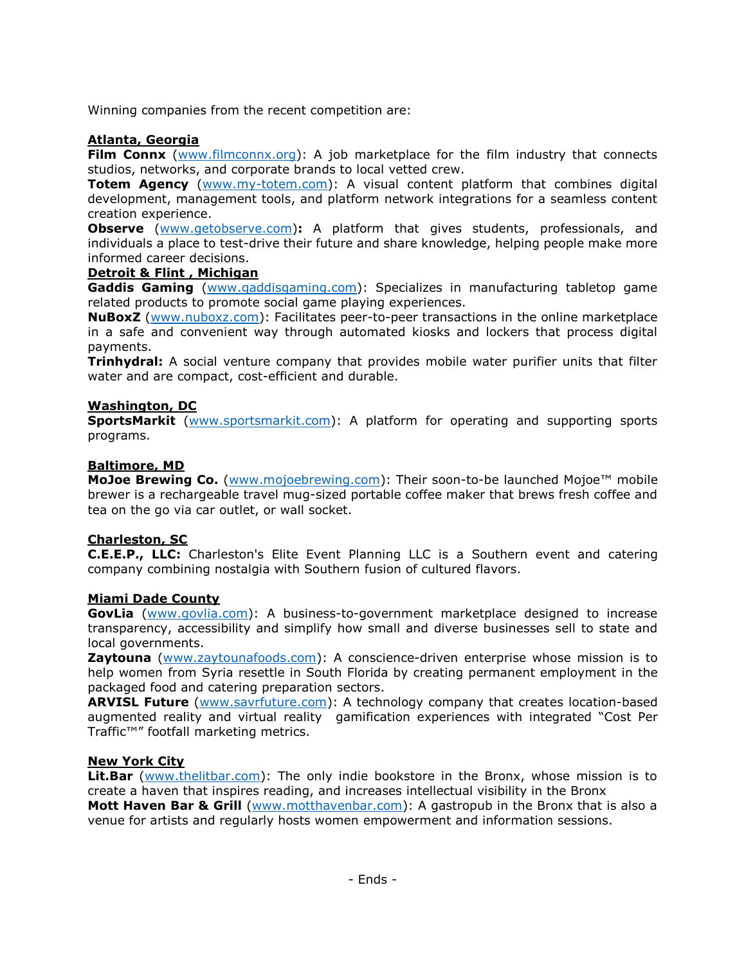Winning companies from the recent competition are:

# **Atlanta, Georgia**

**Film Connx** [\(www.filmconnx.org\)](http://www.filmconnx.org/): A job marketplace for the film industry that connects studios, networks, and corporate brands to local vetted crew.

**Totem Agency** [\(www.my-totem.com\)](http://www.my-totem.com/): A visual content platform that combines digital development, management tools, and platform network integrations for a seamless content creation experience.

**Observe** [\(www.getobserve.com\)](http://www.getobserve.com/)**:** A platform that gives students, professionals, and individuals a place to test-drive their future and share knowledge, helping people make more informed career decisions.

# **Detroit & Flint , Michigan**

**Gaddis Gaming** [\(www.gaddisgaming.com\)](http://www.gaddisgaming.com/): Specializes in manufacturing tabletop game related products to promote social game playing experiences.

**NuBoxZ** [\(www.nuboxz.com\)](http://www.nuboxz.com/): Facilitates peer-to-peer transactions in the online marketplace in a safe and convenient way through automated kiosks and lockers that process digital payments.

**Trinhydral:** A social venture company that provides mobile water purifier units that filter water and are compact, cost-efficient and durable.

# **Washington, DC**

**SportsMarkit** [\(www.sportsmarkit.com\)](http://www.sportsmarkit.com/): A platform for operating and supporting sports programs.

# **Baltimore, MD**

**MoJoe Brewing Co.** [\(www.mojoebrewing.com\)](http://www.mojoebrewing.com/): Their soon-to-be launched Mojoe™ mobile brewer is a rechargeable travel mug-sized portable coffee maker that brews fresh coffee and tea on the go via car outlet, or wall socket.

# **Charleston, SC**

**C.E.E.P., LLC:** Charleston's Elite Event Planning LLC is a Southern event and catering company combining nostalgia with Southern fusion of cultured flavors.

# **Miami Dade County**

**GovLia** [\(www.govlia.com\)](http://www.govlia.com/): A business-to-government marketplace designed to increase transparency, accessibility and simplify how small and diverse businesses sell to state and local governments.

**Zaytouna** [\(www.zaytounafoods.com\)](http://www.zaytounafoods.com/): A conscience-driven enterprise whose mission is to help women from Syria resettle in South Florida by creating permanent employment in the packaged food and catering preparation sectors.

ARVISL Future [\(www.savrfuture.com\)](http://www.savrfuture.com/): A technology company that creates location-based augmented reality and virtual reality gamification experiences with integrated "Cost Per Traffic™" footfall marketing metrics.

# **New York City**

**Lit.Bar** [\(www.thelitbar.com\)](http://www.thelitbar.com/): The only indie bookstore in the Bronx, whose mission is to create a haven that inspires reading, and increases intellectual visibility in the Bronx **Mott Haven Bar & Grill** [\(www.motthavenbar.com\)](http://www.motthavenbar.com/): A gastropub in the Bronx that is also a venue for artists and regularly hosts women empowerment and information sessions.